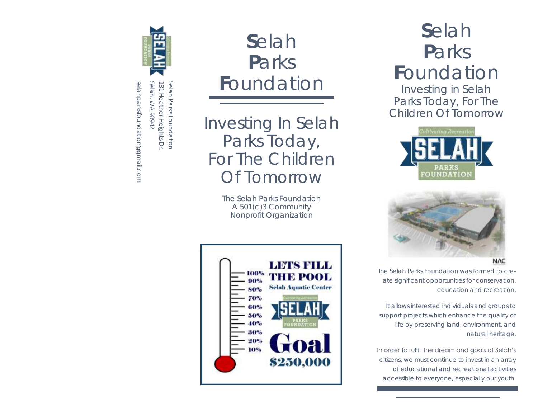

Selah, WA 98942 Selah Parks Foundation Selah, WA 98942 181 Heather Heights Dr. Selah Parks Foundation 81 Heather Heights Dr

selahparksfoundation@gmail.com

selahparksfoundation@gmail.com

# **S**elah **P**arks **F**oundation

*Investing In Selah Parks Today, For The Children Of Tomorrow*

> *The Selah Parks Foundation A 501(c)3 Community Nonprofit Organization*



# **S**elah **P**arks **F**oundation

*Investing in Selah Parks Today, For The Children Of Tomorrow*





The Selah Parks Foundation was formed to create significant opportunities for conservation, education and recreation.

It allows interested individuals and groups to support projects which enhance the quality of life by preserving land, environment, and natural heritage.

In order to fulfill the dream and goals of Selah's citizens, we must continue to invest in an array of educational and recreational activities accessible to everyone, especially our youth.